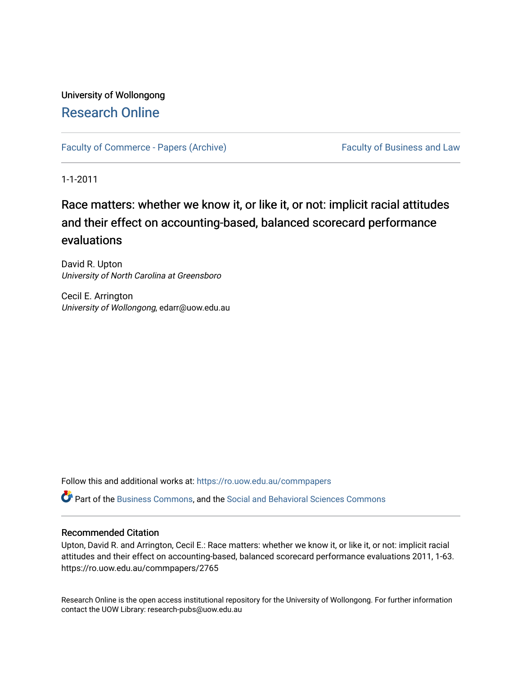## University of Wollongong [Research Online](https://ro.uow.edu.au/)

[Faculty of Commerce - Papers \(Archive\)](https://ro.uow.edu.au/commpapers) Faculty of Business and Law

1-1-2011

# Race matters: whether we know it, or like it, or not: implicit racial attitudes and their effect on accounting-based, balanced scorecard performance evaluations

David R. Upton University of North Carolina at Greensboro

Cecil E. Arrington University of Wollongong, edarr@uow.edu.au

Follow this and additional works at: [https://ro.uow.edu.au/commpapers](https://ro.uow.edu.au/commpapers?utm_source=ro.uow.edu.au%2Fcommpapers%2F2765&utm_medium=PDF&utm_campaign=PDFCoverPages) 

Part of the [Business Commons](http://network.bepress.com/hgg/discipline/622?utm_source=ro.uow.edu.au%2Fcommpapers%2F2765&utm_medium=PDF&utm_campaign=PDFCoverPages), and the [Social and Behavioral Sciences Commons](http://network.bepress.com/hgg/discipline/316?utm_source=ro.uow.edu.au%2Fcommpapers%2F2765&utm_medium=PDF&utm_campaign=PDFCoverPages) 

#### Recommended Citation

Upton, David R. and Arrington, Cecil E.: Race matters: whether we know it, or like it, or not: implicit racial attitudes and their effect on accounting-based, balanced scorecard performance evaluations 2011, 1-63. https://ro.uow.edu.au/commpapers/2765

Research Online is the open access institutional repository for the University of Wollongong. For further information contact the UOW Library: research-pubs@uow.edu.au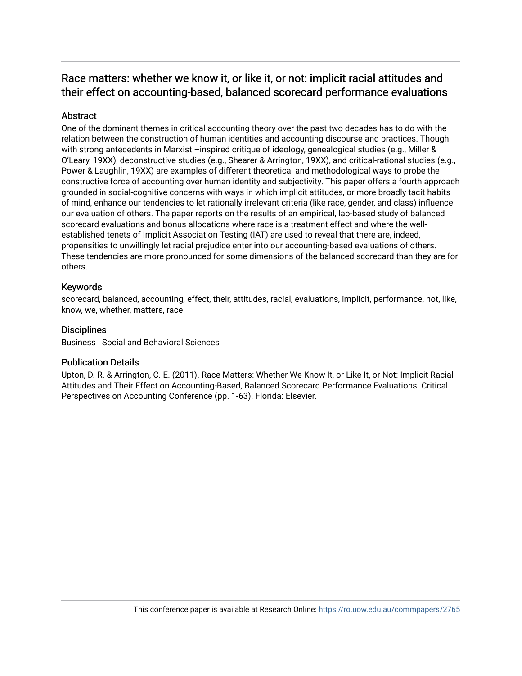## Race matters: whether we know it, or like it, or not: implicit racial attitudes and their effect on accounting-based, balanced scorecard performance evaluations

#### Abstract

One of the dominant themes in critical accounting theory over the past two decades has to do with the relation between the construction of human identities and accounting discourse and practices. Though with strong antecedents in Marxist –inspired critique of ideology, genealogical studies (e.g., Miller & O'Leary, 19XX), deconstructive studies (e.g., Shearer & Arrington, 19XX), and critical-rational studies (e.g., Power & Laughlin, 19XX) are examples of different theoretical and methodological ways to probe the constructive force of accounting over human identity and subjectivity. This paper offers a fourth approach grounded in social-cognitive concerns with ways in which implicit attitudes, or more broadly tacit habits of mind, enhance our tendencies to let rationally irrelevant criteria (like race, gender, and class) influence our evaluation of others. The paper reports on the results of an empirical, lab-based study of balanced scorecard evaluations and bonus allocations where race is a treatment effect and where the wellestablished tenets of Implicit Association Testing (IAT) are used to reveal that there are, indeed, propensities to unwillingly let racial prejudice enter into our accounting-based evaluations of others. These tendencies are more pronounced for some dimensions of the balanced scorecard than they are for others.

#### Keywords

scorecard, balanced, accounting, effect, their, attitudes, racial, evaluations, implicit, performance, not, like, know, we, whether, matters, race

#### **Disciplines**

Business | Social and Behavioral Sciences

#### Publication Details

Upton, D. R. & Arrington, C. E. (2011). Race Matters: Whether We Know It, or Like It, or Not: Implicit Racial Attitudes and Their Effect on Accounting-Based, Balanced Scorecard Performance Evaluations. Critical Perspectives on Accounting Conference (pp. 1-63). Florida: Elsevier.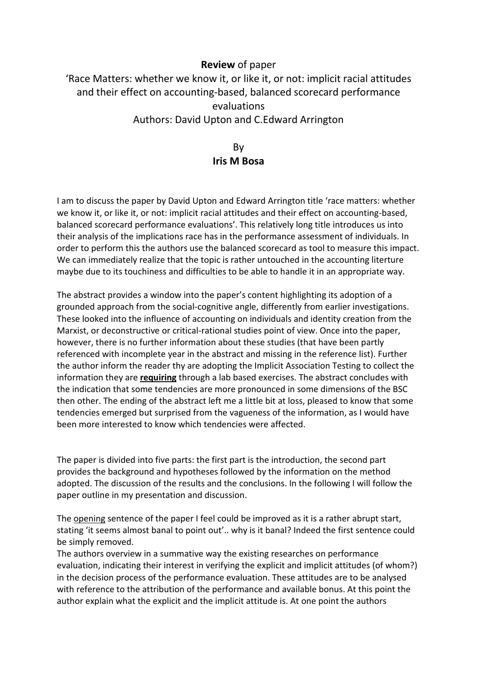### Review of paper

'Race Matters: whether we know it, or like it, or not: implicit racial attitudes and their effect on accounting-based, balanced scorecard performance evaluations Authors: David Upton and C.Edward Arrington

## By Iris M Bosa

I am to discuss the paper by David Upton and Edward Arrington title 'race matters: whether we know it, or like it, or not: implicit racial attitudes and their effect on accounting-based, balanced scorecard performance evaluations'. This relatively long title introduces us into their analysis of the implications race has in the performance assessment of individuals. In order to perform this the authors use the balanced scorecard as tool to measure this impact. We can immediately realize that the topic is rather untouched in the accounting literture maybe due to its touchiness and difficulties to be able to handle it in an appropriate way.

The abstract provides a window into the paper's content highlighting its adoption of a grounded approach from the social-cognitive angle, differently from earlier investigations. These looked into the influence of accounting on individuals and identity creation from the Marxist, or deconstructive or critical-rational studies point of view. Once into the paper, however, there is no further information about these studies (that have been partly referenced with incomplete year in the abstract and missing in the reference list). Further the author inform the reader thy are adopting the Implicit Association Testing to collect the information they are requiring through a lab based exercises. The abstract concludes with the indication that some tendencies are more pronounced in some dimensions of the BSC then other. The ending of the abstract left me a little bit at loss, pleased to know that some tendencies emerged but surprised from the vagueness of the information, as I would have been more interested to know which tendencies were affected.

The paper is divided into five parts: the first part is the introduction, the second part provides the background and hypotheses followed by the information on the method adopted. The discussion of the results and the conclusions. In the following I will follow the paper outline in my presentation and discussion.

The opening sentence of the paper I feel could be improved as it is a rather abrupt start, stating 'it seems almost banal to point out'.. why is it banal? Indeed the first sentence could be simply removed.

The authors overview in a summative way the existing researches on performance evaluation, indicating their interest in verifying the explicit and implicit attitudes (of whom?) in the decision process of the performance evaluation. These attitudes are to be analysed with reference to the attribution of the performance and available bonus. At this point the author explain what the explicit and the implicit attitude is. At one point the authors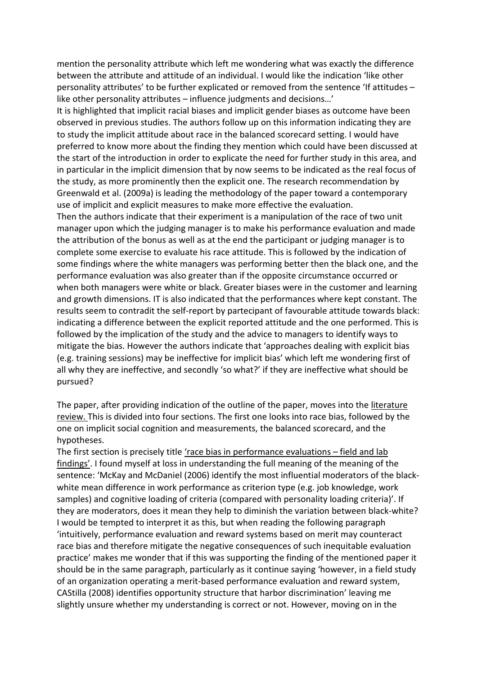mention the personality attribute which left me wondering what was exactly the difference between the attribute and attitude of an individual. I would like the indication 'like other personality attributes' to be further explicated or removed from the sentence 'If attitudes – like other personality attributes – influence judgments and decisions…'

It is highlighted that implicit racial biases and implicit gender biases as outcome have been observed in previous studies. The authors follow up on this information indicating they are to study the implicit attitude about race in the balanced scorecard setting. I would have preferred to know more about the finding they mention which could have been discussed at the start of the introduction in order to explicate the need for further study in this area, and in particular in the implicit dimension that by now seems to be indicated as the real focus of the study, as more prominently then the explicit one. The research recommendation by Greenwald et al. (2009a) is leading the methodology of the paper toward a contemporary use of implicit and explicit measures to make more effective the evaluation.

Then the authors indicate that their experiment is a manipulation of the race of two unit manager upon which the judging manager is to make his performance evaluation and made the attribution of the bonus as well as at the end the participant or judging manager is to complete some exercise to evaluate his race attitude. This is followed by the indication of some findings where the white managers was performing better then the black one, and the performance evaluation was also greater than if the opposite circumstance occurred or when both managers were white or black. Greater biases were in the customer and learning and growth dimensions. IT is also indicated that the performances where kept constant. The results seem to contradit the self-report by partecipant of favourable attitude towards black: indicating a difference between the explicit reported attitude and the one performed. This is followed by the implication of the study and the advice to managers to identify ways to mitigate the bias. However the authors indicate that 'approaches dealing with explicit bias (e.g. training sessions) may be ineffective for implicit bias' which left me wondering first of all why they are ineffective, and secondly 'so what?' if they are ineffective what should be pursued?

The paper, after providing indication of the outline of the paper, moves into the literature review. This is divided into four sections. The first one looks into race bias, followed by the one on implicit social cognition and measurements, the balanced scorecard, and the hypotheses.

The first section is precisely title 'race bias in performance evaluations – field and lab findings'. I found myself at loss in understanding the full meaning of the meaning of the sentence: 'McKay and McDaniel (2006) identify the most influential moderators of the blackwhite mean difference in work performance as criterion type (e.g. job knowledge, work samples) and cognitive loading of criteria (compared with personality loading criteria)'. If they are moderators, does it mean they help to diminish the variation between black-white? I would be tempted to interpret it as this, but when reading the following paragraph 'intuitively, performance evaluation and reward systems based on merit may counteract race bias and therefore mitigate the negative consequences of such inequitable evaluation practice' makes me wonder that if this was supporting the finding of the mentioned paper it should be in the same paragraph, particularly as it continue saying 'however, in a field study of an organization operating a merit-based performance evaluation and reward system, CAStilla (2008) identifies opportunity structure that harbor discrimination' leaving me slightly unsure whether my understanding is correct or not. However, moving on in the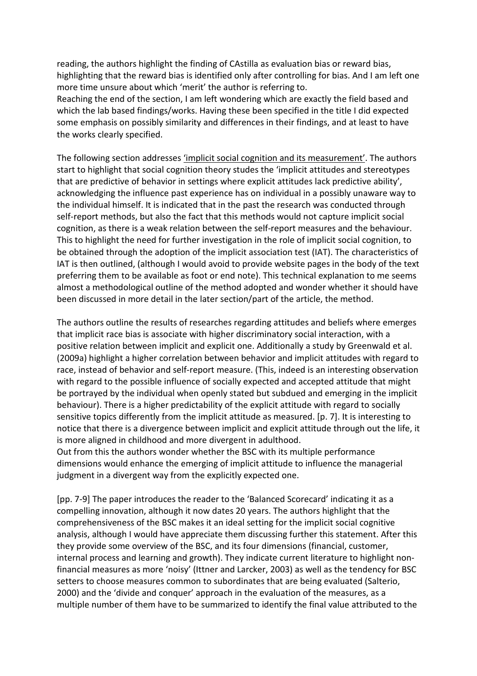reading, the authors highlight the finding of CAstilla as evaluation bias or reward bias, highlighting that the reward bias is identified only after controlling for bias. And I am left one more time unsure about which 'merit' the author is referring to.

Reaching the end of the section, I am left wondering which are exactly the field based and which the lab based findings/works. Having these been specified in the title I did expected some emphasis on possibly similarity and differences in their findings, and at least to have the works clearly specified.

The following section addresses 'implicit social cognition and its measurement'. The authors start to highlight that social cognition theory studes the 'implicit attitudes and stereotypes that are predictive of behavior in settings where explicit attitudes lack predictive ability', acknowledging the influence past experience has on individual in a possibly unaware way to the individual himself. It is indicated that in the past the research was conducted through self-report methods, but also the fact that this methods would not capture implicit social cognition, as there is a weak relation between the self-report measures and the behaviour. This to highlight the need for further investigation in the role of implicit social cognition, to be obtained through the adoption of the implicit association test (IAT). The characteristics of IAT is then outlined, (although I would avoid to provide website pages in the body of the text preferring them to be available as foot or end note). This technical explanation to me seems almost a methodological outline of the method adopted and wonder whether it should have been discussed in more detail in the later section/part of the article, the method.

The authors outline the results of researches regarding attitudes and beliefs where emerges that implicit race bias is associate with higher discriminatory social interaction, with a positive relation between implicit and explicit one. Additionally a study by Greenwald et al. (2009a) highlight a higher correlation between behavior and implicit attitudes with regard to race, instead of behavior and self-report measure. (This, indeed is an interesting observation with regard to the possible influence of socially expected and accepted attitude that might be portrayed by the individual when openly stated but subdued and emerging in the implicit behaviour). There is a higher predictability of the explicit attitude with regard to socially sensitive topics differently from the implicit attitude as measured. [p. 7]. It is interesting to notice that there is a divergence between implicit and explicit attitude through out the life, it is more aligned in childhood and more divergent in adulthood.

Out from this the authors wonder whether the BSC with its multiple performance dimensions would enhance the emerging of implicit attitude to influence the managerial judgment in a divergent way from the explicitly expected one.

[pp. 7-9] The paper introduces the reader to the 'Balanced Scorecard' indicating it as a compelling innovation, although it now dates 20 years. The authors highlight that the comprehensiveness of the BSC makes it an ideal setting for the implicit social cognitive analysis, although I would have appreciate them discussing further this statement. After this they provide some overview of the BSC, and its four dimensions (financial, customer, internal process and learning and growth). They indicate current literature to highlight nonfinancial measures as more 'noisy' (Ittner and Larcker, 2003) as well as the tendency for BSC setters to choose measures common to subordinates that are being evaluated (Salterio, 2000) and the 'divide and conquer' approach in the evaluation of the measures, as a multiple number of them have to be summarized to identify the final value attributed to the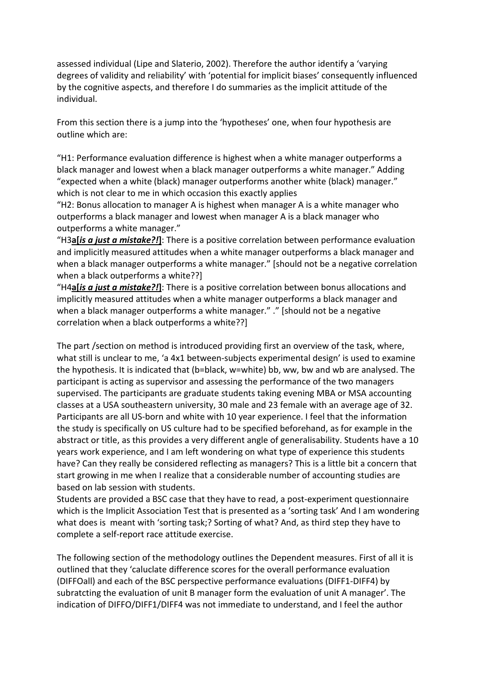assessed individual (Lipe and Slaterio, 2002). Therefore the author identify a 'varying degrees of validity and reliability' with 'potential for implicit biases' consequently influenced by the cognitive aspects, and therefore I do summaries as the implicit attitude of the individual.

From this section there is a jump into the 'hypotheses' one, when four hypothesis are outline which are:

"H1: Performance evaluation difference is highest when a white manager outperforms a black manager and lowest when a black manager outperforms a white manager." Adding "expected when a white (black) manager outperforms another white (black) manager." which is not clear to me in which occasion this exactly applies

"H2: Bonus allocation to manager A is highest when manager A is a white manager who outperforms a black manager and lowest when manager A is a black manager who outperforms a white manager."

"H3a[is a just a mistake?!]: There is a positive correlation between performance evaluation and implicitly measured attitudes when a white manager outperforms a black manager and when a black manager outperforms a white manager." [should not be a negative correlation when a black outperforms a white??]

"H4a[is a just a mistake?!]: There is a positive correlation between bonus allocations and implicitly measured attitudes when a white manager outperforms a black manager and when a black manager outperforms a white manager." ." [should not be a negative correlation when a black outperforms a white??]

The part /section on method is introduced providing first an overview of the task, where, what still is unclear to me, 'a 4x1 between-subjects experimental design' is used to examine the hypothesis. It is indicated that (b=black, w=white) bb, ww, bw and wb are analysed. The participant is acting as supervisor and assessing the performance of the two managers supervised. The participants are graduate students taking evening MBA or MSA accounting classes at a USA southeastern university, 30 male and 23 female with an average age of 32. Participants are all US-born and white with 10 year experience. I feel that the information the study is specifically on US culture had to be specified beforehand, as for example in the abstract or title, as this provides a very different angle of generalisability. Students have a 10 years work experience, and I am left wondering on what type of experience this students have? Can they really be considered reflecting as managers? This is a little bit a concern that start growing in me when I realize that a considerable number of accounting studies are based on lab session with students.

Students are provided a BSC case that they have to read, a post-experiment questionnaire which is the Implicit Association Test that is presented as a 'sorting task' And I am wondering what does is meant with 'sorting task;? Sorting of what? And, as third step they have to complete a self-report race attitude exercise.

The following section of the methodology outlines the Dependent measures. First of all it is outlined that they 'caluclate difference scores for the overall performance evaluation (DIFFOall) and each of the BSC perspective performance evaluations (DIFF1-DIFF4) by subratcting the evaluation of unit B manager form the evaluation of unit A manager'. The indication of DIFFO/DIFF1/DIFF4 was not immediate to understand, and I feel the author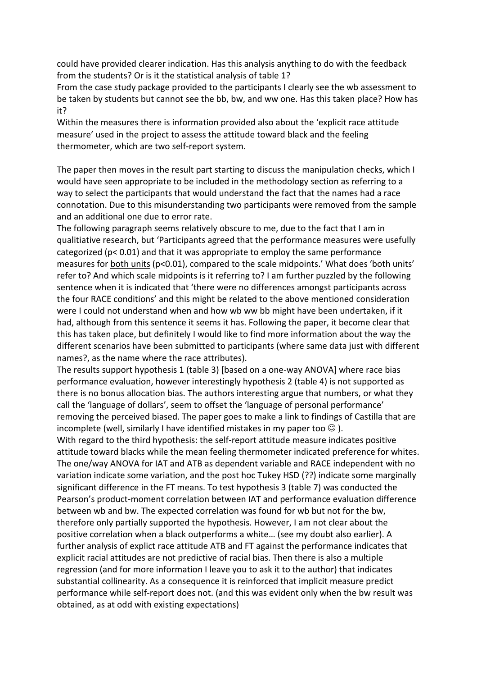could have provided clearer indication. Has this analysis anything to do with the feedback from the students? Or is it the statistical analysis of table 1?

From the case study package provided to the participants I clearly see the wb assessment to be taken by students but cannot see the bb, bw, and ww one. Has this taken place? How has it?

Within the measures there is information provided also about the 'explicit race attitude measure' used in the project to assess the attitude toward black and the feeling thermometer, which are two self-report system.

The paper then moves in the result part starting to discuss the manipulation checks, which I would have seen appropriate to be included in the methodology section as referring to a way to select the participants that would understand the fact that the names had a race connotation. Due to this misunderstanding two participants were removed from the sample and an additional one due to error rate.

The following paragraph seems relatively obscure to me, due to the fact that I am in qualitiative research, but 'Participants agreed that the performance measures were usefully categorized ( $p < 0.01$ ) and that it was appropriate to employ the same performance measures for both units (p<0.01), compared to the scale midpoints.' What does 'both units' refer to? And which scale midpoints is it referring to? I am further puzzled by the following sentence when it is indicated that 'there were no differences amongst participants across the four RACE conditions' and this might be related to the above mentioned consideration were I could not understand when and how wb ww bb might have been undertaken, if it had, although from this sentence it seems it has. Following the paper, it become clear that this has taken place, but definitely I would like to find more information about the way the different scenarios have been submitted to participants (where same data just with different names?, as the name where the race attributes).

The results support hypothesis 1 (table 3) [based on a one-way ANOVA] where race bias performance evaluation, however interestingly hypothesis 2 (table 4) is not supported as there is no bonus allocation bias. The authors interesting argue that numbers, or what they call the 'language of dollars', seem to offset the 'language of personal performance' removing the perceived biased. The paper goes to make a link to findings of Castilla that are incomplete (well, similarly I have identified mistakes in my paper too  $\odot$  ).

With regard to the third hypothesis: the self-report attitude measure indicates positive attitude toward blacks while the mean feeling thermometer indicated preference for whites. The one/way ANOVA for IAT and ATB as dependent variable and RACE independent with no variation indicate some variation, and the post hoc Tukey HSD (??) indicate some marginally significant difference in the FT means. To test hypothesis 3 (table 7) was conducted the Pearson's product-moment correlation between IAT and performance evaluation difference between wb and bw. The expected correlation was found for wb but not for the bw, therefore only partially supported the hypothesis. However, I am not clear about the positive correlation when a black outperforms a white… (see my doubt also earlier). A further analysis of explict race attitude ATB and FT against the performance indicates that explicit racial attitudes are not predictive of racial bias. Then there is also a multiple regression (and for more information I leave you to ask it to the author) that indicates substantial collinearity. As a consequence it is reinforced that implicit measure predict performance while self-report does not. (and this was evident only when the bw result was obtained, as at odd with existing expectations)